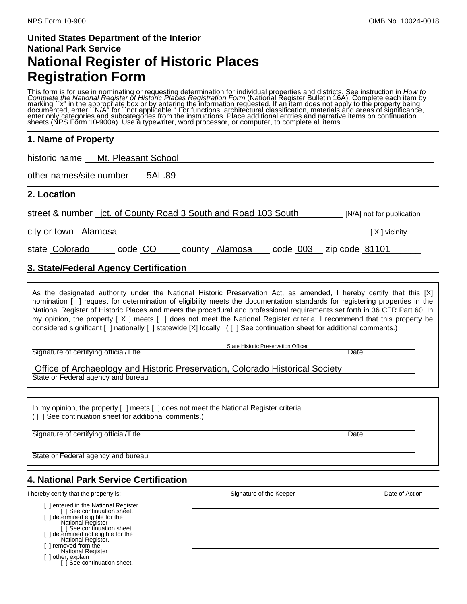# **United States Department of the Interior National Park Service National Register of Historic Places Registration Form**

This form is for use in nominating or requesting determination for individual properties and districts. See instruction in How to<br>Complete the National Register of Historic Places Registration Form (National Register Bulle documĕnted, enter ``N/A" for ``not applicable." For functions, architectural classification, materials and areas of significance,<br>enter only categories and subcategories from the instructions. Place additional entries and

## **1. Name of Property**

historic name Mt. Pleasant School

other names/site number 5AL.89

**2. Location** 

street & number jct. of County Road 3 South and Road 103 South [N/A] not for publication

city or town Alamosa **contract to the Contract of Alamosa** [ X ] vicinity

state Colorado code CO county Alamosa code 003 zip code 81101

## **3. State/Federal Agency Certification**

As the designated authority under the National Historic Preservation Act, as amended, I hereby certify that this [X] nomination [ ] request for determination of eligibility meets the documentation standards for registering properties in the National Register of Historic Places and meets the procedural and professional requirements set forth in 36 CFR Part 60. In my opinion, the property [ X ] meets [ ] does not meet the National Register criteria. I recommend that this property be considered significant [ ] nationally [ ] statewide [X] locally. ( [ ] See continuation sheet for additional comments.)

Signature of certifying official/Title **Date of Contract Contract Contract Contract Contract Contract Contract Contract Contract Contract Contract Contract Contract Contract Contract Contract Contract Contract Contract Con** 

State Historic Preservation Officer

 Office of Archaeology and Historic Preservation, Colorado Historical Society State or Federal agency and bureau

In my opinion, the property [ ] meets [ ] does not meet the National Register criteria. ( [ ] See continuation sheet for additional comments.)

 $\overline{a}$ Signature of certifying official/Title **Date of Contract Contract Contract Contract Contract Contract Contract Contract Contract Contract Contract Contract Contract Contract Contract Contract Contract Contract Contract Con** 

State or Federal agency and bureau

## **4. National Park Service Certification**

I hereby certify that the property is: Signature of the Keeper Date of Action

[ ] entered in the National Register [ ] See continuation sheet. [] determined eligible for the National Register [ ] See continuation sheet.

- [ ] determined not eligible for the National Register.
- [ ] removed from the
- National Register
- 

[ ] other, explain [ ] See continuation sheet.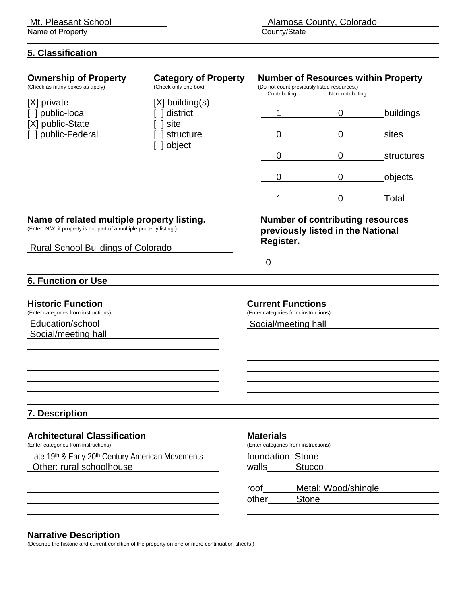Name of Property

## **5. Classification**

| <b>Ownership of Property</b><br>(Check as many boxes as apply)                                                                                                   | <b>Category of Property</b><br>(Check only one box)            | Contributing                                                                            | (Do not count previously listed resources.)<br>Noncontributing               | <b>Number of Resources within Property</b> |
|------------------------------------------------------------------------------------------------------------------------------------------------------------------|----------------------------------------------------------------|-----------------------------------------------------------------------------------------|------------------------------------------------------------------------------|--------------------------------------------|
| [X] private<br>public-local<br>[X] public-State<br>] public-Federal                                                                                              | $[X]$ building(s)<br>district<br>site<br>structure<br>] object |                                                                                         | 0                                                                            | buildings                                  |
|                                                                                                                                                                  |                                                                | $\mathbf 0$                                                                             | 0                                                                            | sites                                      |
|                                                                                                                                                                  |                                                                | $\overline{0}$                                                                          | $\mathbf 0$                                                                  | structures                                 |
|                                                                                                                                                                  |                                                                | 0                                                                                       | 0                                                                            | objects                                    |
|                                                                                                                                                                  |                                                                |                                                                                         | $\mathbf 0$                                                                  | Total                                      |
| Name of related multiple property listing.<br>(Enter "N/A" if property is not part of a multiple property listing.)<br><b>Rural School Buildings of Colorado</b> |                                                                | Register.                                                                               | <b>Number of contributing resources</b><br>previously listed in the National |                                            |
|                                                                                                                                                                  |                                                                | $\overline{0}$                                                                          |                                                                              |                                            |
| <b>6. Function or Use</b>                                                                                                                                        |                                                                |                                                                                         |                                                                              |                                            |
| <b>Historic Function</b><br>(Enter categories from instructions)<br>Education/school<br>Social/meeting hall                                                      |                                                                | <b>Current Functions</b><br>(Enter categories from instructions)<br>Social/meeting hall |                                                                              |                                            |
| <b>7. Description</b>                                                                                                                                            |                                                                |                                                                                         |                                                                              |                                            |
| <b>Architectural Classification</b><br>(Enter categories from instructions)                                                                                      |                                                                | <b>Materials</b><br>(Enter categories from instructions)                                |                                                                              |                                            |
| Late 19 <sup>th</sup> & Early 20 <sup>th</sup> Century American Movements<br>Other: rural schoolhouse                                                            |                                                                | foundation Stone<br>walls                                                               | <b>Stucco</b>                                                                |                                            |
|                                                                                                                                                                  |                                                                | roof<br>other                                                                           | Metal; Wood/shingle<br><b>Stone</b>                                          |                                            |
|                                                                                                                                                                  |                                                                |                                                                                         |                                                                              |                                            |

## **Narrative Description**

(Describe the historic and current condition of the property on one or more continuation sheets.)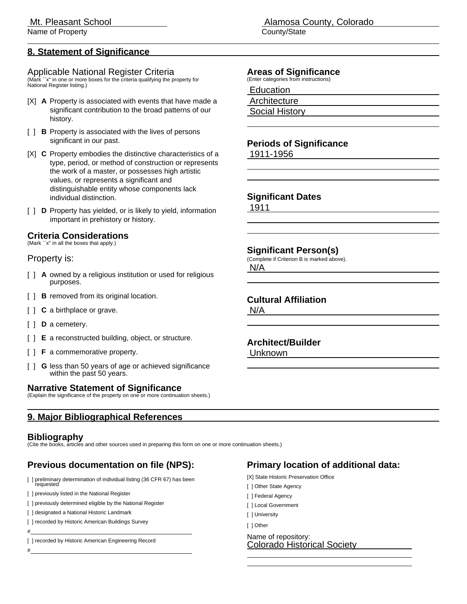Name of Property **County** County County County County County County County County County County County County County County County County County County County County County County County County County County County County

## **8. Statement of Significance**

#### Applicable National Register Criteria

(Mark ``x'' in one or more boxes for the criteria qualifying the property for National Register listing.)

- [X] **A** Property is associated with events that have made a significant contribution to the broad patterns of our history.
- [ ] **B** Property is associated with the lives of persons significant in our past.
- [X] **C** Property embodies the distinctive characteristics of a type, period, or method of construction or represents the work of a master, or possesses high artistic values, or represents a significant and distinguishable entity whose components lack individual distinction.
- [ ] **D** Property has yielded, or is likely to yield, information important in prehistory or history.

## **Criteria Considerations**

(Mark ``x'' in all the boxes that apply.)

#### Property is:

- [ ] **A** owned by a religious institution or used for religious purposes.
- [ ] **B** removed from its original location.
- [  $\vert$  **C** a birthplace or grave.
- [ ] **D** a cemetery.
- [ ] **E** a reconstructed building, object, or structure.
- [ ] **F** a commemorative property.
- [ ] **G** less than 50 years of age or achieved significance within the past 50 years.

## **Narrative Statement of Significance**

(Explain the significance of the property on one or more continuation sheets.)

## **9. Major Bibliographical References**

## **Bibliography**

#

#

(Cite the books, articles and other sources used in preparing this form on one or more continuation sheets.)

# **Previous documentation on file (NPS):**

[ ] preliminary determination of individual listing (36 CFR 67) has been requested

[ ] previously listed in the National Register

- [ ] previously determined eligible by the National Register
- [ ] designated a National Historic Landmark
- [ ] recorded by Historic American Buildings Survey

[ ] recorded by Historic American Engineering Record

Mt. Pleasant School **Alamosa County, Colorado** 

## **Areas of Significance**

(Enter categories from instructions)

Education

**Architecture** 

Social History

#### **Periods of Significance** 1911-1956

### **Significant Dates**

1911

 $\overline{a}$ 

 $\overline{a}$  $\overline{a}$ 

 $\overline{a}$  $\overline{a}$ 

## **Significant Person(s)**

(Complete if Criterion B is marked above).

 N/A  $\overline{a}$ 

## **Cultural Affiliation**

 N/A  $\overline{a}$ 

 $\overline{a}$ 

## **Architect/Builder**

Unknown

## **Primary location of additional data:**

- [X] State Historic Preservation Office
- [ ] Other State Agency
- [ ] Federal Agency
- [ ] Local Government
- [ ] University

-<br>-

[ ] Other

Name of repository:<br>Colorado Historical Society -<br>-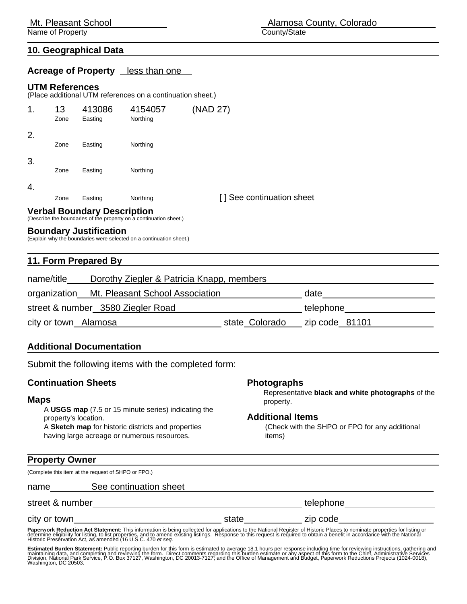Name of Property **County** County County County County County County County County County County County County County County County County County County County County County County County County County County County County

#### **10. Geographical Data**

**Acreage of Property** less than one

#### **UTM References**

(Place additional UTM references on a continuation sheet.)

| 1. | 13<br>Zone | 413086<br>Easting | 4154057<br>Northing | (NAD 27)                  |
|----|------------|-------------------|---------------------|---------------------------|
| 2. | Zone       | Easting           | Northing            |                           |
| 3. | Zone       | Easting           | Northing            |                           |
| 4. | Zone       | Easting           | Northing            | [] See continuation sheet |

# **Verbal Boundary Description** (Describe the boundaries of the property on a continuation sheet.)

### **Boundary Justification**

(Explain why the boundaries were selected on a continuation sheet.)

#### **11. Form Prepared By**

| name/title           | Dorothy Ziegler & Patricia Knapp, members    |                |                |
|----------------------|----------------------------------------------|----------------|----------------|
|                      | organization Mt. Pleasant School Association |                | date           |
|                      | street & number 3580 Ziegler Road            |                | telephone      |
| city or town Alamosa |                                              | state Colorado | zip code 81101 |

#### **Additional Documentation**

Submit the following items with the completed form:

#### **Continuation Sheets**

#### **Maps**

 A **USGS map** (7.5 or 15 minute series) indicating the property's location. A **Sketch map** for historic districts and properties having large acreage or numerous resources.

#### **Photographs**

 Representative **black and white photographs** of the property.

#### **Additional Items**

 (Check with the SHPO or FPO for any additional items)

#### **Property Owner**

(Complete this item at the request of SHPO or FPO.)

| name            | See continuation sheet |       |           |
|-----------------|------------------------|-------|-----------|
| street & number |                        |       | telephone |
| city or town    |                        | state | zip code  |

**Paperwork Reduction Act Statement:** This information is being collected for applications to the National Register of Historic Places to nominate properties for listing or<br>defermine eligibility for listing, to list propert

Estimated Burden Statement: Public reporting burden for this form is estimated to average 18.1 hours per response including time for reviewing instructions, gathering and<br>maintaining data, and completing and reviewing the

Mt. Pleasant School **Alamosa County, Colorado**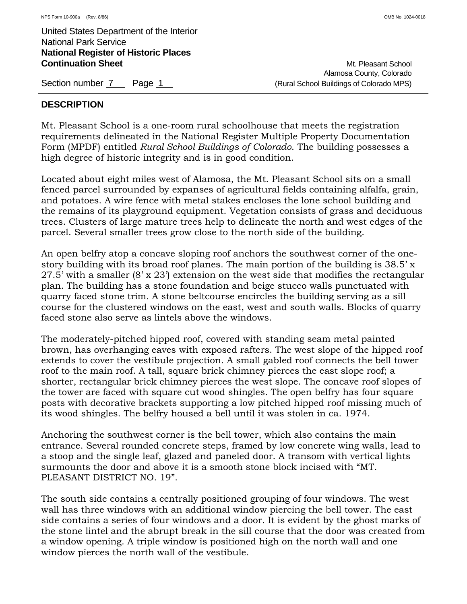Alamosa County, Colorado Section number 7 Page 1 Page 1 (Rural School Buildings of Colorado MPS)

## **DESCRIPTION**

Mt. Pleasant School is a one-room rural schoolhouse that meets the registration requirements delineated in the National Register Multiple Property Documentation Form (MPDF) entitled *Rural School Buildings of Colorado*. The building possesses a high degree of historic integrity and is in good condition.

Located about eight miles west of Alamosa, the Mt. Pleasant School sits on a small fenced parcel surrounded by expanses of agricultural fields containing alfalfa, grain, and potatoes. A wire fence with metal stakes encloses the lone school building and the remains of its playground equipment. Vegetation consists of grass and deciduous trees. Clusters of large mature trees help to delineate the north and west edges of the parcel. Several smaller trees grow close to the north side of the building.

An open belfry atop a concave sloping roof anchors the southwest corner of the onestory building with its broad roof planes. The main portion of the building is 38.5' x 27.5' with a smaller (8' x 23') extension on the west side that modifies the rectangular plan. The building has a stone foundation and beige stucco walls punctuated with quarry faced stone trim. A stone beltcourse encircles the building serving as a sill course for the clustered windows on the east, west and south walls. Blocks of quarry faced stone also serve as lintels above the windows.

The moderately-pitched hipped roof, covered with standing seam metal painted brown, has overhanging eaves with exposed rafters. The west slope of the hipped roof extends to cover the vestibule projection. A small gabled roof connects the bell tower roof to the main roof. A tall, square brick chimney pierces the east slope roof; a shorter, rectangular brick chimney pierces the west slope. The concave roof slopes of the tower are faced with square cut wood shingles. The open belfry has four square posts with decorative brackets supporting a low pitched hipped roof missing much of its wood shingles. The belfry housed a bell until it was stolen in ca. 1974.

Anchoring the southwest corner is the bell tower, which also contains the main entrance. Several rounded concrete steps, framed by low concrete wing walls, lead to a stoop and the single leaf, glazed and paneled door. A transom with vertical lights surmounts the door and above it is a smooth stone block incised with "MT. PLEASANT DISTRICT NO. 19".

The south side contains a centrally positioned grouping of four windows. The west wall has three windows with an additional window piercing the bell tower. The east side contains a series of four windows and a door. It is evident by the ghost marks of the stone lintel and the abrupt break in the sill course that the door was created from a window opening. A triple window is positioned high on the north wall and one window pierces the north wall of the vestibule.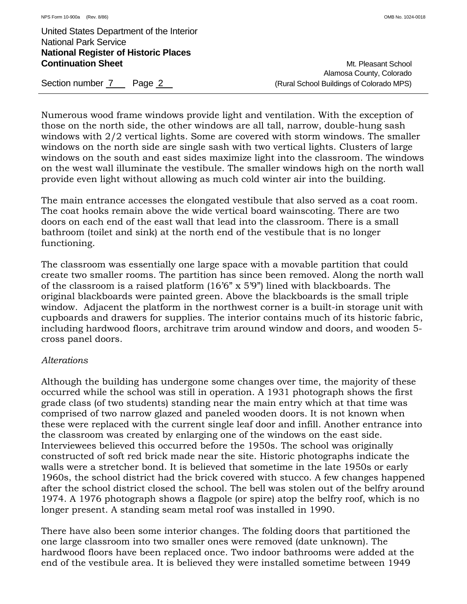Alamosa County, Colorado Section number 7 Page 2 **Page 2 Access** (Rural School Buildings of Colorado MPS)

Numerous wood frame windows provide light and ventilation. With the exception of those on the north side, the other windows are all tall, narrow, double-hung sash windows with 2/2 vertical lights. Some are covered with storm windows. The smaller windows on the north side are single sash with two vertical lights. Clusters of large windows on the south and east sides maximize light into the classroom. The windows on the west wall illuminate the vestibule. The smaller windows high on the north wall provide even light without allowing as much cold winter air into the building.

The main entrance accesses the elongated vestibule that also served as a coat room. The coat hooks remain above the wide vertical board wainscoting. There are two doors on each end of the east wall that lead into the classroom. There is a small bathroom (toilet and sink) at the north end of the vestibule that is no longer functioning.

The classroom was essentially one large space with a movable partition that could create two smaller rooms. The partition has since been removed. Along the north wall of the classroom is a raised platform (16'6" x 5'9") lined with blackboards. The original blackboards were painted green. Above the blackboards is the small triple window. Adjacent the platform in the northwest corner is a built-in storage unit with cupboards and drawers for supplies. The interior contains much of its historic fabric, including hardwood floors, architrave trim around window and doors, and wooden 5 cross panel doors.

## *Alterations*

Although the building has undergone some changes over time, the majority of these occurred while the school was still in operation. A 1931 photograph shows the first grade class (of two students) standing near the main entry which at that time was comprised of two narrow glazed and paneled wooden doors. It is not known when these were replaced with the current single leaf door and infill. Another entrance into the classroom was created by enlarging one of the windows on the east side. Interviewees believed this occurred before the 1950s. The school was originally constructed of soft red brick made near the site. Historic photographs indicate the walls were a stretcher bond. It is believed that sometime in the late 1950s or early 1960s, the school district had the brick covered with stucco. A few changes happened after the school district closed the school. The bell was stolen out of the belfry around 1974. A 1976 photograph shows a flagpole (or spire) atop the belfry roof, which is no longer present. A standing seam metal roof was installed in 1990.

There have also been some interior changes. The folding doors that partitioned the one large classroom into two smaller ones were removed (date unknown). The hardwood floors have been replaced once. Two indoor bathrooms were added at the end of the vestibule area. It is believed they were installed sometime between 1949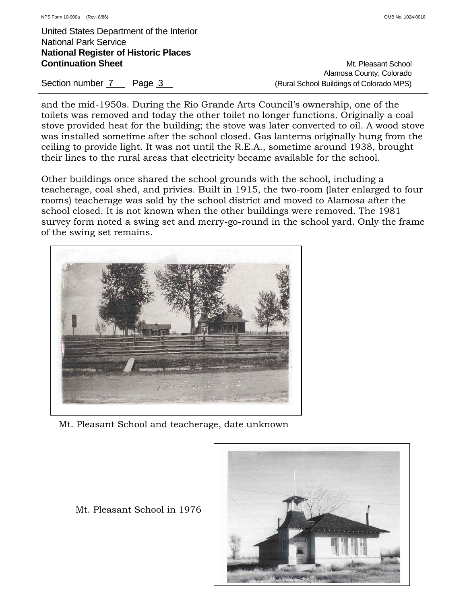Alamosa County, Colorado Section number 7 Page 3 (Rural School Buildings of Colorado MPS)

and the mid-1950s. During the Rio Grande Arts Council's ownership, one of the toilets was removed and today the other toilet no longer functions. Originally a coal stove provided heat for the building; the stove was later converted to oil. A wood stove was installed sometime after the school closed. Gas lanterns originally hung from the ceiling to provide light. It was not until the R.E.A., sometime around 1938, brought their lines to the rural areas that electricity became available for the school.

Other buildings once shared the school grounds with the school, including a teacherage, coal shed, and privies. Built in 1915, the two-room (later enlarged to four rooms) teacherage was sold by the school district and moved to Alamosa after the school closed. It is not known when the other buildings were removed. The 1981 survey form noted a swing set and merry-go-round in the school yard. Only the frame of the swing set remains.



Mt. Pleasant School and teacherage, date unknown



Mt. Pleasant School in 1976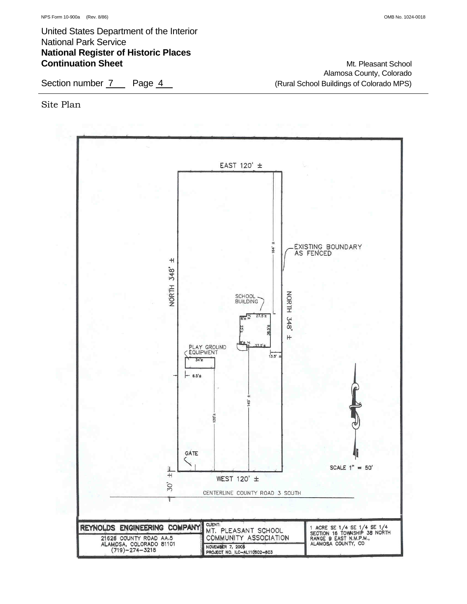Alamosa County, Colorado Section number 7 Page 4 (Rural School Buildings of Colorado MPS)

Site Plan

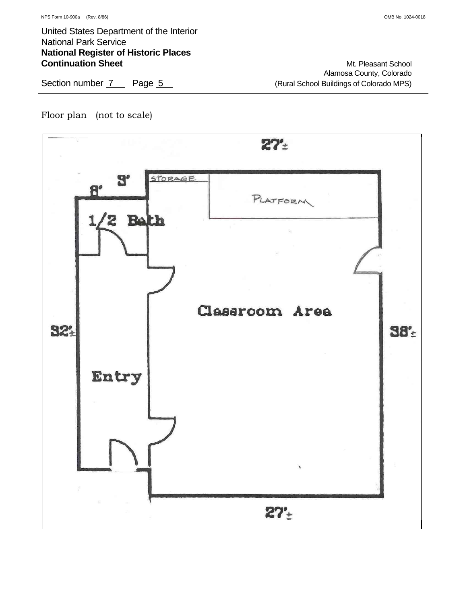Alamosa County, Colorado Section number 7 Page 5 (Rural School Buildings of Colorado MPS)

## Floor plan (not to scale)

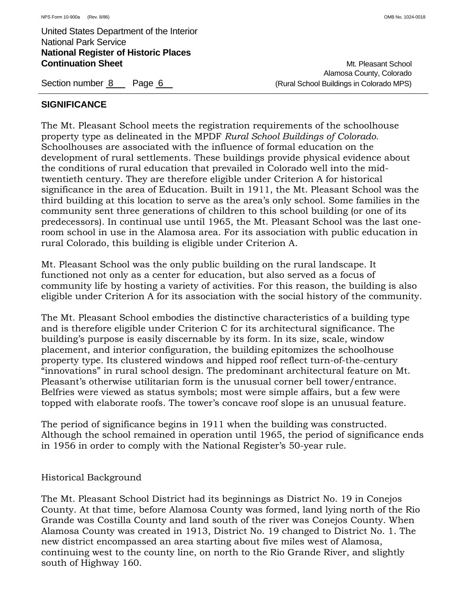## **SIGNIFICANCE**

The Mt. Pleasant School meets the registration requirements of the schoolhouse property type as delineated in the MPDF *Rural School Buildings of Colorado*. Schoolhouses are associated with the influence of formal education on the development of rural settlements. These buildings provide physical evidence about the conditions of rural education that prevailed in Colorado well into the midtwentieth century. They are therefore eligible under Criterion A for historical significance in the area of Education. Built in 1911, the Mt. Pleasant School was the third building at this location to serve as the area's only school. Some families in the community sent three generations of children to this school building (or one of its predecessors). In continual use until 1965, the Mt. Pleasant School was the last oneroom school in use in the Alamosa area. For its association with public education in rural Colorado, this building is eligible under Criterion A.

Mt. Pleasant School was the only public building on the rural landscape. It functioned not only as a center for education, but also served as a focus of community life by hosting a variety of activities. For this reason, the building is also eligible under Criterion A for its association with the social history of the community.

The Mt. Pleasant School embodies the distinctive characteristics of a building type and is therefore eligible under Criterion C for its architectural significance. The building's purpose is easily discernable by its form. In its size, scale, window placement, and interior configuration, the building epitomizes the schoolhouse property type. Its clustered windows and hipped roof reflect turn-of-the-century "innovations" in rural school design. The predominant architectural feature on Mt. Pleasant's otherwise utilitarian form is the unusual corner bell tower/entrance. Belfries were viewed as status symbols; most were simple affairs, but a few were topped with elaborate roofs. The tower's concave roof slope is an unusual feature.

The period of significance begins in 1911 when the building was constructed. Although the school remained in operation until 1965, the period of significance ends in 1956 in order to comply with the National Register's 50-year rule.

Historical Background

The Mt. Pleasant School District had its beginnings as District No. 19 in Conejos County. At that time, before Alamosa County was formed, land lying north of the Rio Grande was Costilla County and land south of the river was Conejos County. When Alamosa County was created in 1913, District No. 19 changed to District No. 1. The new district encompassed an area starting about five miles west of Alamosa, continuing west to the county line, on north to the Rio Grande River, and slightly south of Highway 160.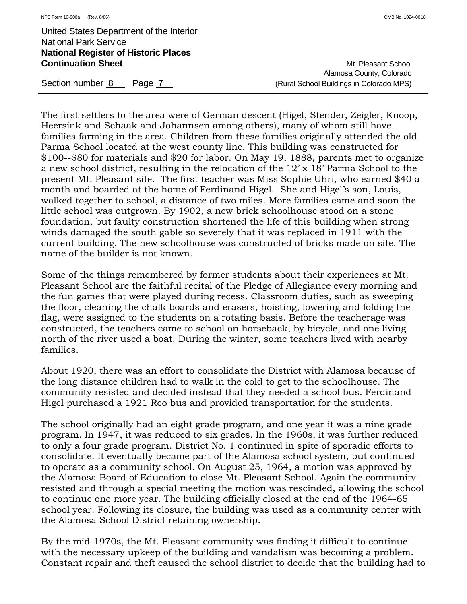Alamosa County, Colorado Section number 8 Page 7 (Rural School Buildings in Colorado MPS)

The first settlers to the area were of German descent (Higel, Stender, Zeigler, Knoop, Heersink and Schaak and Johannsen among others), many of whom still have families farming in the area. Children from these families originally attended the old Parma School located at the west county line. This building was constructed for \$100--\$80 for materials and \$20 for labor. On May 19, 1888, parents met to organize a new school district, resulting in the relocation of the 12' x 18' Parma School to the present Mt. Pleasant site. The first teacher was Miss Sophie Uhri, who earned \$40 a month and boarded at the home of Ferdinand Higel. She and Higel's son, Louis, walked together to school, a distance of two miles. More families came and soon the little school was outgrown. By 1902, a new brick schoolhouse stood on a stone foundation, but faulty construction shortened the life of this building when strong winds damaged the south gable so severely that it was replaced in 1911 with the current building. The new schoolhouse was constructed of bricks made on site. The name of the builder is not known.

Some of the things remembered by former students about their experiences at Mt. Pleasant School are the faithful recital of the Pledge of Allegiance every morning and the fun games that were played during recess. Classroom duties, such as sweeping the floor, cleaning the chalk boards and erasers, hoisting, lowering and folding the flag, were assigned to the students on a rotating basis. Before the teacherage was constructed, the teachers came to school on horseback, by bicycle, and one living north of the river used a boat. During the winter, some teachers lived with nearby families.

About 1920, there was an effort to consolidate the District with Alamosa because of the long distance children had to walk in the cold to get to the schoolhouse. The community resisted and decided instead that they needed a school bus. Ferdinand Higel purchased a 1921 Reo bus and provided transportation for the students.

The school originally had an eight grade program, and one year it was a nine grade program. In 1947, it was reduced to six grades. In the 1960s, it was further reduced to only a four grade program. District No. 1 continued in spite of sporadic efforts to consolidate. It eventually became part of the Alamosa school system, but continued to operate as a community school. On August 25, 1964, a motion was approved by the Alamosa Board of Education to close Mt. Pleasant School. Again the community resisted and through a special meeting the motion was rescinded, allowing the school to continue one more year. The building officially closed at the end of the 1964-65 school year. Following its closure, the building was used as a community center with the Alamosa School District retaining ownership.

By the mid-1970s, the Mt. Pleasant community was finding it difficult to continue with the necessary upkeep of the building and vandalism was becoming a problem. Constant repair and theft caused the school district to decide that the building had to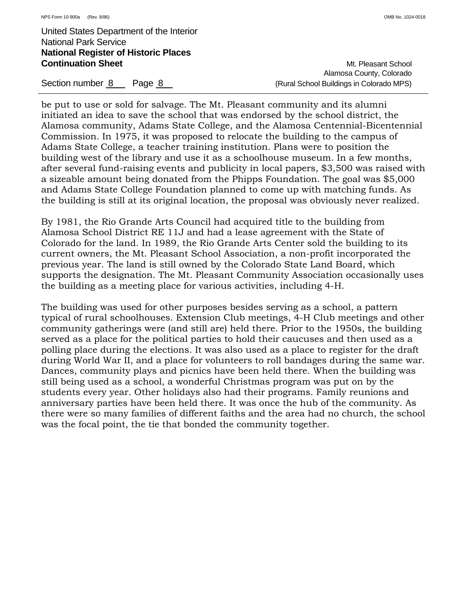Alamosa County, Colorado Section number 8 Page 8 (Rural School Buildings in Colorado MPS)

be put to use or sold for salvage. The Mt. Pleasant community and its alumni initiated an idea to save the school that was endorsed by the school district, the Alamosa community, Adams State College, and the Alamosa Centennial-Bicentennial Commission. In 1975, it was proposed to relocate the building to the campus of Adams State College, a teacher training institution. Plans were to position the building west of the library and use it as a schoolhouse museum. In a few months, after several fund-raising events and publicity in local papers, \$3,500 was raised with a sizeable amount being donated from the Phipps Foundation. The goal was \$5,000 and Adams State College Foundation planned to come up with matching funds. As the building is still at its original location, the proposal was obviously never realized.

By 1981, the Rio Grande Arts Council had acquired title to the building from Alamosa School District RE 11J and had a lease agreement with the State of Colorado for the land. In 1989, the Rio Grande Arts Center sold the building to its current owners, the Mt. Pleasant School Association, a non-profit incorporated the previous year. The land is still owned by the Colorado State Land Board, which supports the designation. The Mt. Pleasant Community Association occasionally uses the building as a meeting place for various activities, including 4-H.

The building was used for other purposes besides serving as a school, a pattern typical of rural schoolhouses. Extension Club meetings, 4-H Club meetings and other community gatherings were (and still are) held there. Prior to the 1950s, the building served as a place for the political parties to hold their caucuses and then used as a polling place during the elections. It was also used as a place to register for the draft during World War II, and a place for volunteers to roll bandages during the same war. Dances, community plays and picnics have been held there. When the building was still being used as a school, a wonderful Christmas program was put on by the students every year. Other holidays also had their programs. Family reunions and anniversary parties have been held there. It was once the hub of the community. As there were so many families of different faiths and the area had no church, the school was the focal point, the tie that bonded the community together.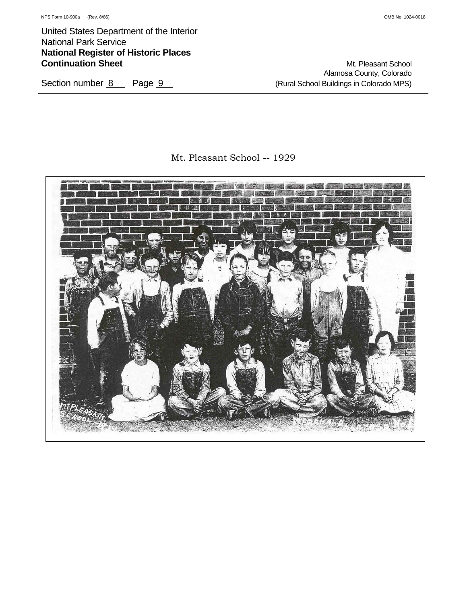Alamosa County, Colorado Section number 8 Page 9 (Rural School Buildings in Colorado MPS)

## Mt. Pleasant School -- 1929

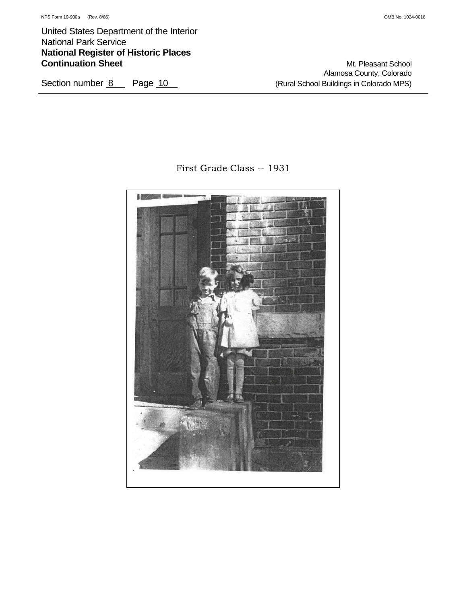Alamosa County, Colorado Section number 8 Page 10 Constant Colorado MPS)

First Grade Class -- 1931

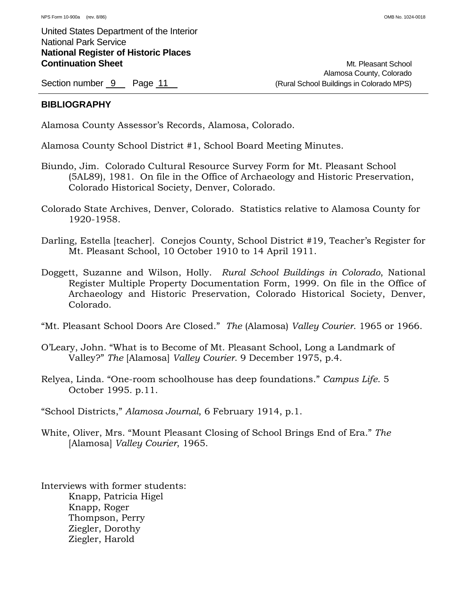Alamosa County, Colorado Section number 9 Page 11 Figure 20 Page 11 (Rural School Buildings in Colorado MPS)

## **BIBLIOGRAPHY**

Alamosa County Assessor's Records, Alamosa, Colorado.

Alamosa County School District #1, School Board Meeting Minutes.

- Biundo, Jim. Colorado Cultural Resource Survey Form for Mt. Pleasant School (5AL89), 1981. On file in the Office of Archaeology and Historic Preservation, Colorado Historical Society, Denver, Colorado.
- Colorado State Archives, Denver, Colorado. Statistics relative to Alamosa County for 1920-1958.
- Darling, Estella [teacher]. Conejos County, School District #19, Teacher's Register for Mt. Pleasant School, 10 October 1910 to 14 April 1911.
- Doggett, Suzanne and Wilson, Holly. *Rural School Buildings in Colorado*, National Register Multiple Property Documentation Form, 1999. On file in the Office of Archaeology and Historic Preservation, Colorado Historical Society, Denver, Colorado.
- "Mt. Pleasant School Doors Are Closed." *The* (Alamosa) *Valley Courier*. 1965 or 1966.
- O'Leary, John. "What is to Become of Mt. Pleasant School, Long a Landmark of Valley?" *The* [Alamosa] *Valley Courier*. 9 December 1975, p.4.
- Relyea, Linda. "One-room schoolhouse has deep foundations." *Campus Life*. 5 October 1995. p.11.
- "School Districts," *Alamosa Journal*, 6 February 1914, p.1.
- White, Oliver, Mrs. "Mount Pleasant Closing of School Brings End of Era." *The* [Alamosa] *Valley Courier*, 1965.

Interviews with former students: Knapp, Patricia Higel Knapp, Roger Thompson, Perry Ziegler, Dorothy Ziegler, Harold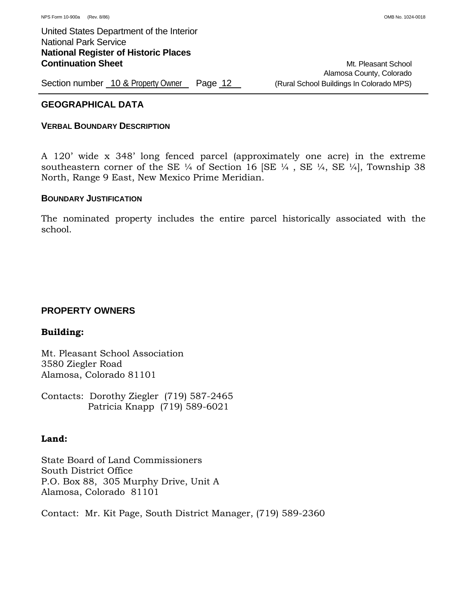## **GEOGRAPHICAL DATA**

## **VERBAL BOUNDARY DESCRIPTION**

A 120' wide x 348' long fenced parcel (approximately one acre) in the extreme southeastern corner of the SE  $\frac{1}{4}$  of Section 16 [SE  $\frac{1}{4}$ , SE  $\frac{1}{4}$ , SE  $\frac{1}{4}$ ], Township 38 North, Range 9 East, New Mexico Prime Meridian.

## **BOUNDARY JUSTIFICATION**

The nominated property includes the entire parcel historically associated with the school.

## **PROPERTY OWNERS**

## **Building:**

Mt. Pleasant School Association 3580 Ziegler Road Alamosa, Colorado 81101

Contacts: Dorothy Ziegler (719) 587-2465 Patricia Knapp (719) 589-6021

## **Land:**

State Board of Land Commissioners South District Office P.O. Box 88, 305 Murphy Drive, Unit A Alamosa, Colorado 81101

Contact: Mr. Kit Page, South District Manager, (719) 589-2360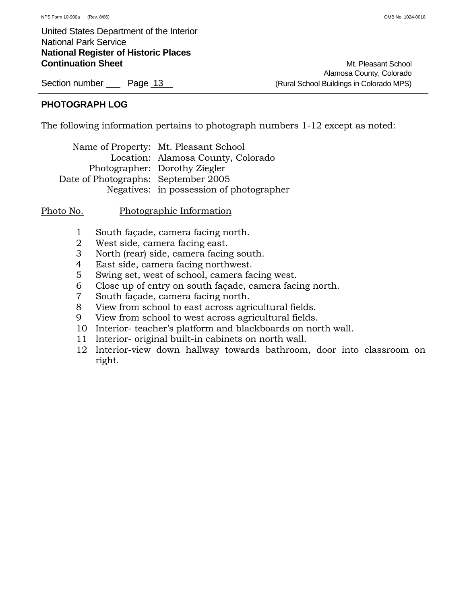## **PHOTOGRAPH LOG**

The following information pertains to photograph numbers 1-12 except as noted:

|                                     | Name of Property: Mt. Pleasant School    |
|-------------------------------------|------------------------------------------|
|                                     | Location: Alamosa County, Colorado       |
|                                     | Photographer: Dorothy Ziegler            |
| Date of Photographs: September 2005 |                                          |
|                                     | Negatives: in possession of photographer |

Photo No. Photographic Information

- 1 South façade, camera facing north.
- 2 West side, camera facing east.
- 3 North (rear) side, camera facing south.
- 4 East side, camera facing northwest.
- 5 Swing set, west of school, camera facing west.
- 6 Close up of entry on south façade, camera facing north.
- 7 South façade, camera facing north.
- 8 View from school to east across agricultural fields.
- 9 View from school to west across agricultural fields.
- 10 Interior- teacher's platform and blackboards on north wall.
- 11 Interior- original built-in cabinets on north wall.
- 12 Interior-view down hallway towards bathroom, door into classroom on right.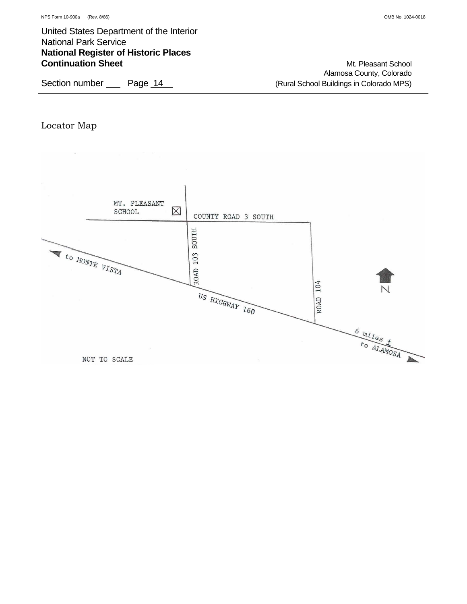Alamosa County, Colorado Section number Page 14 (Rural School Buildings in Colorado MPS)

## Locator Map